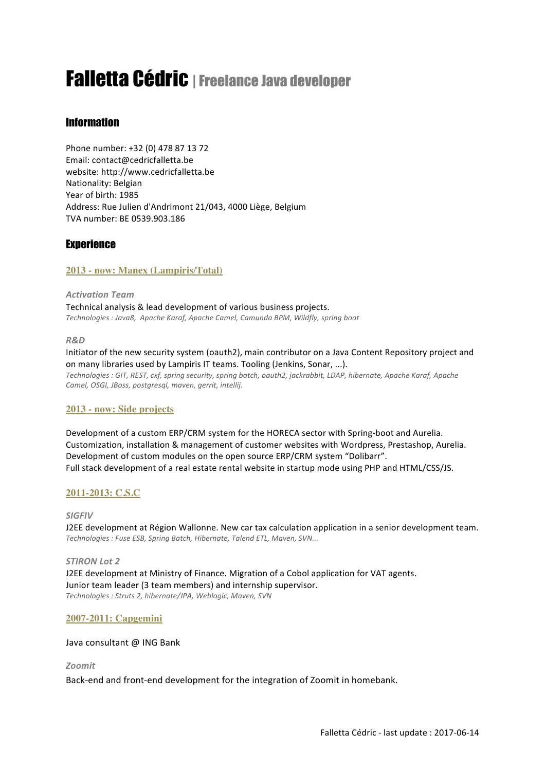# Falletta Cédric |Freelance Java developer

# **Information**

Phone number: +32 (0) 478 87 13 72 Email: contact@cedricfalletta.be website: http://www.cedricfalletta.be Nationality: Belgian Year of birth: 1985 Address: Rue Julien d'Andrimont 21/043, 4000 Liège, Belgium TVA number: BE 0539.903.186

## **Experience**

## **2013 - now: Manex (Lampiris/Total)**

*Activation Team* Technical analysis & lead development of various business projects. Technologies : Java8, Apache Karaf, Apache Camel, Camunda BPM, Wildfly, spring boot

#### *R&D*

Initiator of the new security system (oauth2), main contributor on a Java Content Repository project and on many libraries used by Lampiris IT teams. Tooling (Jenkins, Sonar, ...). Technologies : GIT, REST, cxf, spring security, spring batch, oauth2, jackrabbit, LDAP, hibernate, Apache Karaf, Apache Camel, OSGI, JBoss, postgresql, maven, gerrit, intellij.

## **2013 - now: Side projects**

Development of a custom ERP/CRM system for the HORECA sector with Spring-boot and Aurelia. Customization, installation & management of customer websites with Wordpress, Prestashop, Aurelia. Development of custom modules on the open source ERP/CRM system "Dolibarr". Full stack development of a real estate rental website in startup mode using PHP and HTML/CSS/JS.

## **2011-2013: C.S.C**

## *SIGFIV*

J2EE development at Région Wallonne. New car tax calculation application in a senior development team. *Technologies : Fuse ESB, Spring Batch, Hibernate, Talend ETL, Maven, SVN...*

#### *STIRON Lot 2*

J2EE development at Ministry of Finance. Migration of a Cobol application for VAT agents. Junior team leader (3 team members) and internship supervisor. *Technologies : Struts 2, hibernate/JPA, Weblogic, Maven, SVN*

## **2007-2011: Capgemini**

#### Java consultant @ ING Bank

#### *Zoomit*

Back-end and front-end development for the integration of Zoomit in homebank.